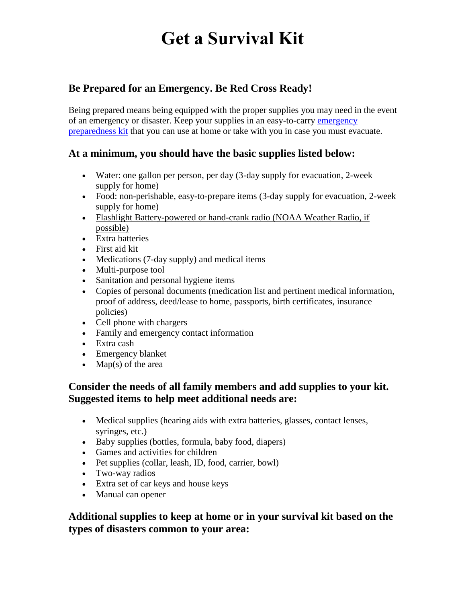# **Get a Survival Kit**

# **Be Prepared for an Emergency. Be Red Cross Ready!**

Being prepared means being equipped with the proper supplies you may need in the event of an [emergency](http://www.redcrossstore.org/category/id/1) or disaster. Keep your supplies in an easy-to-carry emergency [preparedness kit](http://www.redcrossstore.org/category/id/1) that you can use at home or take with you in case you must evacuate.

#### **At a minimum, you should have the basic supplies listed below:**

- Water: one gallon per person, per day (3-day supply for evacuation, 2-week supply for home)
- Food: non-perishable, easy-to-prepare items (3-day supply for evacuation, 2-week supply for home)
- Flashlight Battery-powered or hand-crank radio (NOAA Weather Radio, if possible)
- Extra batteries
- [First aid kit](http://www.redcrossstore.org/category/id/115)
- Medications (7-day supply) and medical items
- Multi-purpose tool
- Sanitation and personal hygiene items
- Copies of personal documents (medication list and pertinent medical information, proof of address, deed/lease to home, passports, birth certificates, insurance policies)
- Cell phone with chargers
- Family and emergency contact information
- Extra cash
- Emergency blanket
- $\bullet$  Map(s) of the area

## **Consider the needs of all family members and add supplies to your kit. Suggested items to help meet additional needs are:**

- Medical supplies (hearing aids with extra batteries, glasses, contact lenses, syringes, etc.)
- Baby supplies (bottles, formula, baby food, diapers)
- Games and activities for children
- Pet supplies (collar, leash, ID, food, carrier, bowl)
- Two-way radios
- Extra set of car keys and house keys
- Manual can opener

## **Additional supplies to keep at home or in your survival kit based on the types of disasters common to your area:**